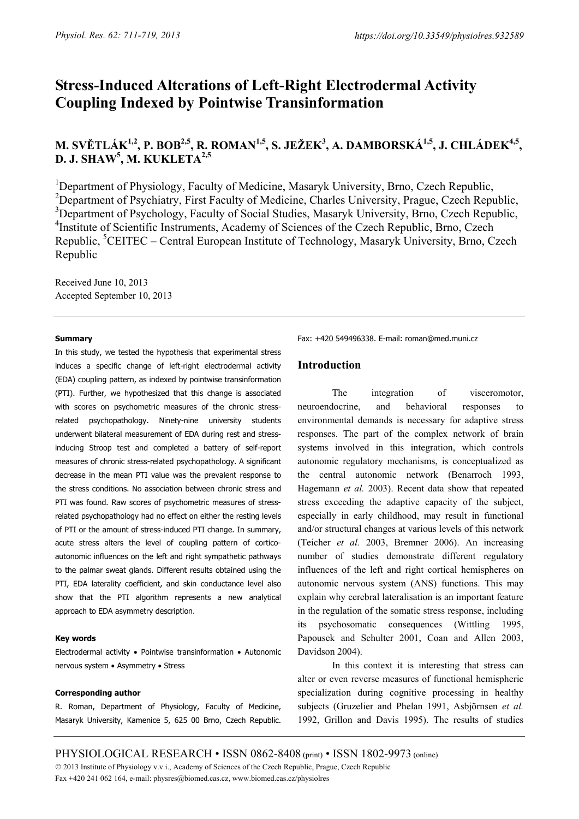# **Stress-Induced Alterations of Left-Right Electrodermal Activity Coupling Indexed by Pointwise Transinformation**

## **M. SVĚTLÁK1,2, P. BOB2,5, R. ROMAN1,5, S. JEŽEK3 , A. DAMBORSKÁ1,5, J. CHLÁDEK4,5, D. J. SHAW5 , M. KUKLETA2,5**

<sup>1</sup>Department of Physiology, Faculty of Medicine, Masaryk University, Brno, Czech Republic, <sup>2</sup>Department of Psychiatry, First Faculty of Medicine, Charles University, Prague, Czech Republic, <sup>3</sup>Department of Psychology, Faculty of Social Studies, Masaryk University, Brno, Czech Republic, <sup>4</sup>Institute of Scientific Instruments, Academy of Sciences of the Czech Republic, Brno, Czech Republic, <sup>5</sup>CEITEC – Central European Institute of Technology, Masaryk University, Brno, Czech Republic

Received June 10, 2013 Accepted September 10, 2013

#### **Summary**

In this study, we tested the hypothesis that experimental stress induces a specific change of left-right electrodermal activity (EDA) coupling pattern, as indexed by pointwise transinformation (PTI). Further, we hypothesized that this change is associated with scores on psychometric measures of the chronic stressrelated psychopathology. Ninety-nine university students underwent bilateral measurement of EDA during rest and stressinducing Stroop test and completed a battery of self-report measures of chronic stress-related psychopathology. A significant decrease in the mean PTI value was the prevalent response to the stress conditions. No association between chronic stress and PTI was found. Raw scores of psychometric measures of stressrelated psychopathology had no effect on either the resting levels of PTI or the amount of stress-induced PTI change. In summary, acute stress alters the level of coupling pattern of corticoautonomic influences on the left and right sympathetic pathways to the palmar sweat glands. Different results obtained using the PTI, EDA laterality coefficient, and skin conductance level also show that the PTI algorithm represents a new analytical approach to EDA asymmetry description.

#### **Key words**

Electrodermal activity • Pointwise transinformation • Autonomic nervous system • Asymmetry • Stress

#### **Corresponding author**

R. Roman, Department of Physiology, Faculty of Medicine, Masaryk University, Kamenice 5, 625 00 Brno, Czech Republic. Fax: +420 549496338. E-mail: roman@med.muni.cz

## **Introduction**

The integration of visceromotor, neuroendocrine, and behavioral responses to environmental demands is necessary for adaptive stress responses. The part of the complex network of brain systems involved in this integration, which controls autonomic regulatory mechanisms, is conceptualized as the central autonomic network (Benarroch 1993, Hagemann *et al.* 2003). Recent data show that repeated stress exceeding the adaptive capacity of the subject, especially in early childhood, may result in functional and/or structural changes at various levels of this network (Teicher *et al.* 2003, Bremner 2006). An increasing number of studies demonstrate different regulatory influences of the left and right cortical hemispheres on autonomic nervous system (ANS) functions. This may explain why cerebral lateralisation is an important feature in the regulation of the somatic stress response, including its psychosomatic consequences (Wittling 1995, Papousek and Schulter 2001, Coan and Allen 2003, Davidson 2004).

In this context it is interesting that stress can alter or even reverse measures of functional hemispheric specialization during cognitive processing in healthy subjects (Gruzelier and Phelan 1991, Asbjörnsen *et al.* 1992, Grillon and Davis 1995). The results of studies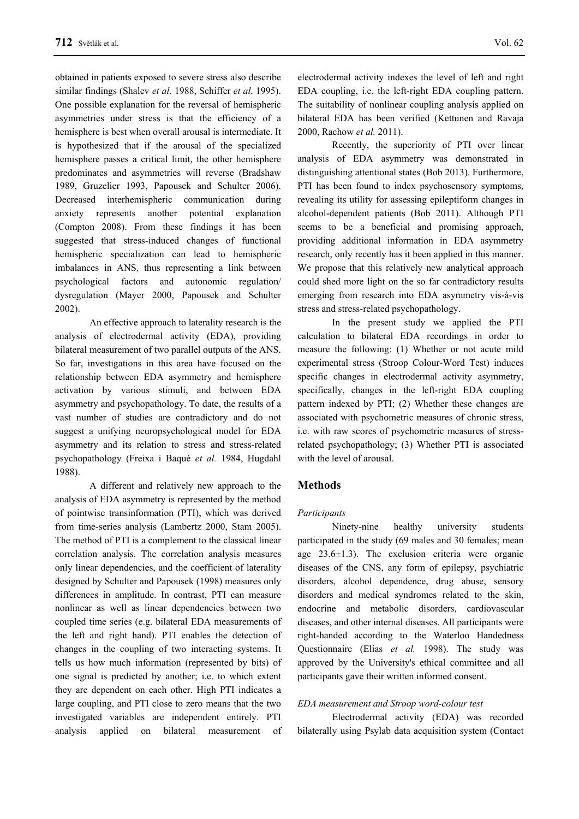obtained in patients exposed to severe stress also describe similar findings (Shalev *et al.* 1988, Schiffer *et al*. 1995). One possible explanation for the reversal of hemispheric asymmetries under stress is that the efficiency of a hemisphere is best when overall arousal is intermediate. It is hypothesized that if the arousal of the specialized hemisphere passes a critical limit, the other hemisphere predominates and asymmetries will reverse (Bradshaw 1989, Gruzelier 1993, Papousek and Schulter 2006). Decreased interhemispheric communication during anxiety represents another potential explanation (Compton 2008). From these findings it has been suggested that stress-induced changes of functional hemispheric specialization can lead to hemispheric imbalances in ANS, thus representing a link between psychological factors and autonomic regulation/ dysregulation (Mayer 2000, Papousek and Schulter 2002).

An effective approach to laterality research is the analysis of electrodermal activity (EDA), providing bilateral measurement of two parallel outputs of the ANS. So far, investigations in this area have focused on the relationship between EDA asymmetry and hemisphere activation by various stimuli, and between EDA asymmetry and psychopathology. To date, the results of a vast number of studies are contradictory and do not suggest a unifying neuropsychological model for EDA asymmetry and its relation to stress and stress-related psychopathology (Freixa i Baqué *et al.* 1984, Hugdahl 1988).

A different and relatively new approach to the analysis of EDA asymmetry is represented by the method of pointwise transinformation (PTI), which was derived from time-series analysis (Lambertz 2000, Stam 2005). The method of PTI is a complement to the classical linear correlation analysis. The correlation analysis measures only linear dependencies, and the coefficient of laterality designed by Schulter and Papousek (1998) measures only differences in amplitude. In contrast, PTI can measure nonlinear as well as linear dependencies between two coupled time series (e.g. bilateral EDA measurements of the left and right hand). PTI enables the detection of changes in the coupling of two interacting systems. It tells us how much information (represented by bits) of one signal is predicted by another; i.e. to which extent they are dependent on each other. High PTI indicates a large coupling, and PTI close to zero means that the two investigated variables are independent entirely. PTI analysis applied on bilateral measurement of

electrodermal activity indexes the level of left and right EDA coupling, i.e. the left-right EDA coupling pattern. The suitability of nonlinear coupling analysis applied on bilateral EDA has been verified (Kettunen and Ravaja 2000, Rachow *et al.* 2011).

Recently, the superiority of PTI over linear analysis of EDA asymmetry was demonstrated in distinguishing attentional states (Bob 2013). Furthermore, PTI has been found to index psychosensory symptoms, revealing its utility for assessing epileptiform changes in alcohol-dependent patients (Bob 2011). Although PTI seems to be a beneficial and promising approach, providing additional information in EDA asymmetry research, only recently has it been applied in this manner. We propose that this relatively new analytical approach could shed more light on the so far contradictory results emerging from research into EDA asymmetry vis-à-vis stress and stress-related psychopathology.

In the present study we applied the PTI calculation to bilateral EDA recordings in order to measure the following: (1) Whether or not acute mild experimental stress (Stroop Colour-Word Test) induces specific changes in electrodermal activity asymmetry, specifically, changes in the left-right EDA coupling pattern indexed by PTI; (2) Whether these changes are associated with psychometric measures of chronic stress, i.e. with raw scores of psychometric measures of stressrelated psychopathology; (3) Whether PTI is associated with the level of arousal.

## **Methods**

#### *Participants*

Ninety-nine healthy university students participated in the study (69 males and 30 females; mean age 23.6±1.3). The exclusion criteria were organic diseases of the CNS, any form of epilepsy, psychiatric disorders, alcohol dependence, drug abuse, sensory disorders and medical syndromes related to the skin, endocrine and metabolic disorders, cardiovascular diseases, and other internal diseases. All participants were right-handed according to the Waterloo Handedness Questionnaire (Elias *et al.* 1998). The study was approved by the University's ethical committee and all participants gave their written informed consent.

#### *EDA measurement and Stroop word-colour test*

Electrodermal activity (EDA) was recorded bilaterally using Psylab data acquisition system (Contact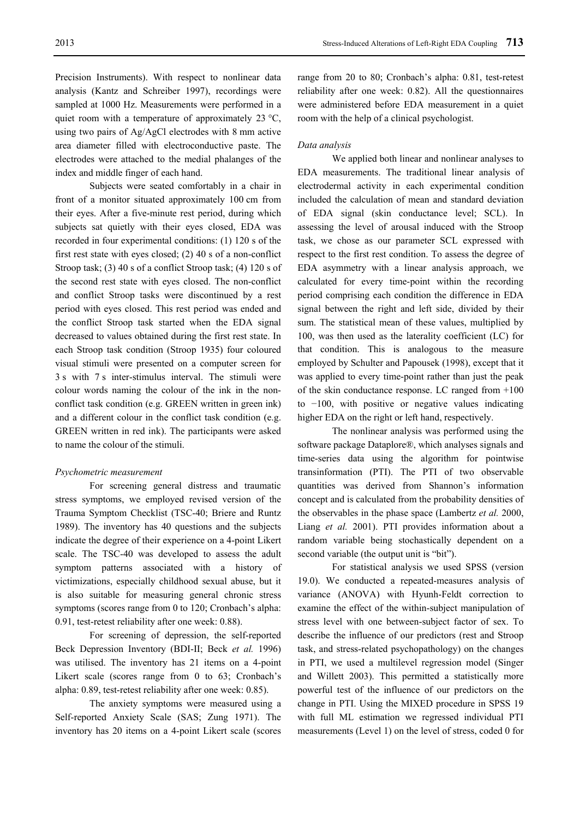Precision Instruments). With respect to nonlinear data analysis (Kantz and Schreiber 1997), recordings were sampled at 1000 Hz. Measurements were performed in a quiet room with a temperature of approximately  $23 \text{ °C}$ , using two pairs of Ag/AgCl electrodes with 8 mm active area diameter filled with electroconductive paste. The electrodes were attached to the medial phalanges of the

index and middle finger of each hand.

Subjects were seated comfortably in a chair in front of a monitor situated approximately 100 cm from their eyes. After a five-minute rest period, during which subjects sat quietly with their eyes closed, EDA was recorded in four experimental conditions: (1) 120 s of the first rest state with eyes closed; (2) 40 s of a non-conflict Stroop task; (3) 40 s of a conflict Stroop task; (4) 120 s of the second rest state with eyes closed. The non-conflict and conflict Stroop tasks were discontinued by a rest period with eyes closed. This rest period was ended and the conflict Stroop task started when the EDA signal decreased to values obtained during the first rest state. In each Stroop task condition (Stroop 1935) four coloured visual stimuli were presented on a computer screen for 3 s with 7 s inter-stimulus interval. The stimuli were colour words naming the colour of the ink in the nonconflict task condition (e.g. GREEN written in green ink) and a different colour in the conflict task condition (e.g. GREEN written in red ink). The participants were asked to name the colour of the stimuli.

## *Psychometric measurement*

For screening general distress and traumatic stress symptoms, we employed revised version of the Trauma Symptom Checklist (TSC-40; Briere and Runtz 1989). The inventory has 40 questions and the subjects indicate the degree of their experience on a 4-point Likert scale. The TSC-40 was developed to assess the adult symptom patterns associated with a history of victimizations, especially childhood sexual abuse, but it is also suitable for measuring general chronic stress symptoms (scores range from 0 to 120; Cronbach's alpha: 0.91, test-retest reliability after one week: 0.88).

For screening of depression, the self-reported Beck Depression Inventory (BDI-II; Beck *et al.* 1996) was utilised. The inventory has 21 items on a 4-point Likert scale (scores range from 0 to 63; Cronbach's alpha: 0.89, test-retest reliability after one week: 0.85).

The anxiety symptoms were measured using a Self-reported Anxiety Scale (SAS; Zung 1971). The inventory has 20 items on a 4-point Likert scale (scores range from 20 to 80; Cronbach's alpha: 0.81, test-retest reliability after one week: 0.82). All the questionnaires were administered before EDA measurement in a quiet room with the help of a clinical psychologist.

#### *Data analysis*

We applied both linear and nonlinear analyses to EDA measurements. The traditional linear analysis of electrodermal activity in each experimental condition included the calculation of mean and standard deviation of EDA signal (skin conductance level; SCL). In assessing the level of arousal induced with the Stroop task, we chose as our parameter SCL expressed with respect to the first rest condition. To assess the degree of EDA asymmetry with a linear analysis approach, we calculated for every time-point within the recording period comprising each condition the difference in EDA signal between the right and left side, divided by their sum. The statistical mean of these values, multiplied by 100, was then used as the laterality coefficient (LC) for that condition. This is analogous to the measure employed by Schulter and Papousek (1998), except that it was applied to every time-point rather than just the peak of the skin conductance response. LC ranged from +100 to −100, with positive or negative values indicating higher EDA on the right or left hand, respectively.

The nonlinear analysis was performed using the software package Dataplore®, which analyses signals and time-series data using the algorithm for pointwise transinformation (PTI). The PTI of two observable quantities was derived from Shannon's information concept and is calculated from the probability densities of the observables in the phase space (Lambertz *et al.* 2000, Liang *et al.* 2001). PTI provides information about a random variable being stochastically dependent on a second variable (the output unit is "bit").

For statistical analysis we used SPSS (version 19.0). We conducted a repeated-measures analysis of variance (ANOVA) with Hyunh-Feldt correction to examine the effect of the within-subject manipulation of stress level with one between-subject factor of sex. To describe the influence of our predictors (rest and Stroop task, and stress-related psychopathology) on the changes in PTI, we used a multilevel regression model (Singer and Willett 2003). This permitted a statistically more powerful test of the influence of our predictors on the change in PTI. Using the MIXED procedure in SPSS 19 with full ML estimation we regressed individual PTI measurements (Level 1) on the level of stress, coded 0 for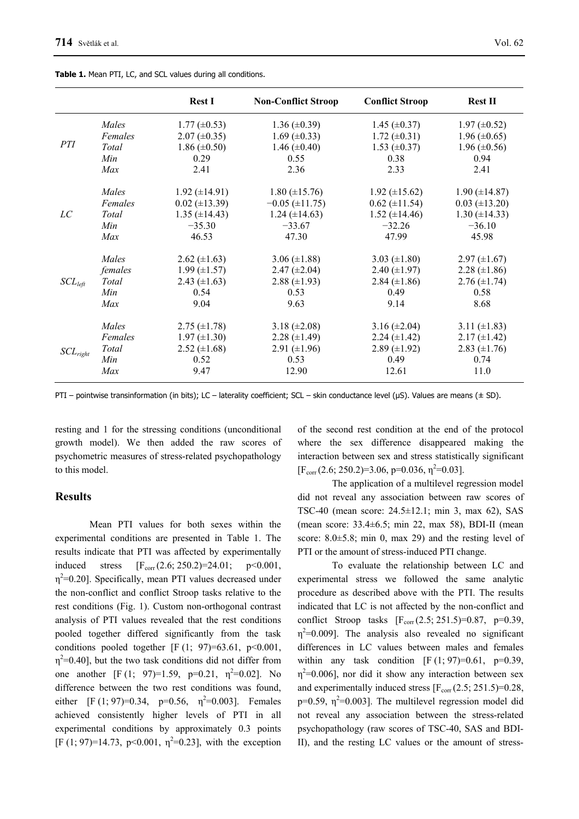|               |         | <b>Rest I</b>        | <b>Non-Conflict Stroop</b> | <b>Conflict Stroop</b> | <b>Rest II</b>       |
|---------------|---------|----------------------|----------------------------|------------------------|----------------------|
| <i>PTI</i>    | Males   | $1.77 \ (\pm 0.53)$  | $1.36 \ (\pm 0.39)$        | 1.45 $(\pm 0.37)$      | $1.97 \ (\pm 0.52)$  |
|               | Females | $2.07 \ (\pm 0.35)$  | 1.69 $(\pm 0.33)$          | $1.72 \ (\pm 0.31)$    | $1.96 \ (\pm 0.65)$  |
|               | Total   | $1.86 \ (\pm 0.50)$  | 1.46 $(\pm 0.40)$          | $1.53 \ (\pm 0.37)$    | 1.96 $(\pm 0.56)$    |
|               | Min     | 0.29                 | 0.55                       | 0.38                   | 0.94                 |
|               | Max     | 2.41                 | 2.36                       | 2.33                   | 2.41                 |
| LC            | Males   | $1.92 \ (\pm 14.91)$ | $1.80 \ (\pm 15.76)$       | 1.92 $(\pm 15.62)$     | $1.90 \ (\pm 14.87)$ |
|               | Females | $0.02 \ (\pm 13.39)$ | $-0.05$ ( $\pm$ 11.75)     | $0.62 (\pm 11.54)$     | $0.03 \ (\pm 13.20)$ |
|               | Total   | $1.35 \ (\pm 14.43)$ | $1.24 (\pm 14.63)$         | $1.52 \ (\pm 14.46)$   | $1.30 \ (\pm 14.33)$ |
|               | Min     | $-35.30$             | $-33.67$                   | $-32.26$               | $-36.10$             |
|               | Max     | 46.53                | 47.30                      | 47.99                  | 45.98                |
| $SCL_{left}$  | Males   | $2.62 \ (\pm 1.63)$  | $3.06 (\pm 1.88)$          | 3.03 $(\pm 1.80)$      | $2.97 \ (\pm 1.67)$  |
|               | females | $1.99 \ (\pm 1.57)$  | $2.47 \ (\pm 2.04)$        | $2.40 (\pm 1.97)$      | $2.28 (\pm 1.86)$    |
|               | Total   | 2.43 $(\pm 1.63)$    | $2.88 \ (\pm 1.93)$        | $2.84 \ (\pm 1.86)$    | $2.76 (\pm 1.74)$    |
|               | Min     | 0.54                 | 0.53                       | 0.49                   | 0.58                 |
|               | Max     | 9.04                 | 9.63                       | 9.14                   | 8.68                 |
| $SCL_{right}$ | Males   | $2.75 \ (\pm 1.78)$  | $3.18 (\pm 2.08)$          | $3.16 \ (\pm 2.04)$    | 3.11 $(\pm 1.83)$    |
|               | Females | $1.97 \ (\pm 1.30)$  | $2.28 (\pm 1.49)$          | $2.24 (\pm 1.42)$      | $2.17 \ (\pm 1.42)$  |
|               | Total   | $2.52 \ (\pm 1.68)$  | 2.91 $(\pm 1.96)$          | $2.89 \ (\pm 1.92)$    | 2.83 $(\pm 1.76)$    |
|               | Min     | 0.52                 | 0.53                       | 0.49                   | 0.74                 |
|               | Max     | 9.47                 | 12.90                      | 12.61                  | 11.0                 |

**Table 1.** Mean PTI, LC, and SCL values during all conditions.

PTI – pointwise transinformation (in bits); LC – laterality coefficient; SCL – skin conductance level (μS). Values are means (± SD).

resting and 1 for the stressing conditions (unconditional growth model). We then added the raw scores of psychometric measures of stress-related psychopathology to this model.

## **Results**

Mean PTI values for both sexes within the experimental conditions are presented in Table 1. The results indicate that PTI was affected by experimentally induced stress  $[F_{corr}(2.6; 250.2)=24.01; p<0.001,$  $\eta^2$ =0.20]. Specifically, mean PTI values decreased under the non-conflict and conflict Stroop tasks relative to the rest conditions (Fig. 1). Custom non-orthogonal contrast analysis of PTI values revealed that the rest conditions pooled together differed significantly from the task conditions pooled together  $[F(1; 97)=63.61, p<0.001]$ ,  $\eta^2$ =0.40], but the two task conditions did not differ from one another [F (1; 97)=1.59, p=0.21,  $\eta^2$ =0.02]. No difference between the two rest conditions was found, either  $[F (1; 97)=0.34, p=0.56, \eta^2=0.003]$ . Females achieved consistently higher levels of PTI in all experimental conditions by approximately 0.3 points [F (1; 97)=14.73, p<0.001,  $\eta^2$ =0.23], with the exception of the second rest condition at the end of the protocol where the sex difference disappeared making the interaction between sex and stress statistically significant  $[F_{corr}(2.6; 250.2)=3.06, p=0.036, \eta^2=0.03]$ .

The application of a multilevel regression model did not reveal any association between raw scores of TSC-40 (mean score: 24.5±12.1; min 3, max 62), SAS (mean score: 33.4±6.5; min 22, max 58), BDI-II (mean score:  $8.0 \pm 5.8$ ; min 0, max 29) and the resting level of PTI or the amount of stress-induced PTI change.

To evaluate the relationship between LC and experimental stress we followed the same analytic procedure as described above with the PTI. The results indicated that LC is not affected by the non-conflict and conflict Stroop tasks  $[F_{corr}(2.5; 251.5)=0.87, p=0.39,$  $\eta^2$ =0.009]. The analysis also revealed no significant differences in LC values between males and females within any task condition  $[F (1; 97)=0.61, p=0.39]$  $\eta^2$ =0.006], nor did it show any interaction between sex and experimentally induced stress  $[F_{\text{corr}}(2.5; 251.5)=0.28$ , p=0.59,  $\eta^2$ =0.003]. The multilevel regression model did not reveal any association between the stress-related psychopathology (raw scores of TSC-40, SAS and BDI-II), and the resting LC values or the amount of stress-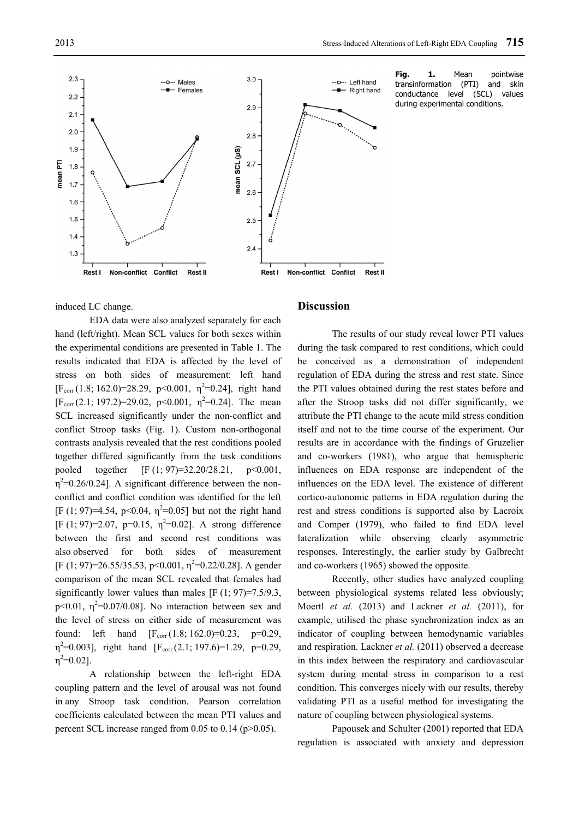

Fig. 1. Mean pointwise transinformation (PTI) and skin conductance level (SCL) values during experimental conditions.

#### induced LC change.

EDA data were also analyzed separately for each hand (left/right). Mean SCL values for both sexes within the experimental conditions are presented in Table 1. The results indicated that EDA is affected by the level of stress on both sides of measurement: left hand  $[F_{corr}(1.8; 162.0)=28.29, p<0.001, \eta^2=0.24]$ , right hand  $[F_{corr}(2.1; 197.2)=29.02, p<0.001, \eta^2=0.24]$ . The mean SCL increased significantly under the non-conflict and conflict Stroop tasks (Fig. 1). Custom non-orthogonal contrasts analysis revealed that the rest conditions pooled together differed significantly from the task conditions pooled together [F (1; 97)=32.20/28.21, p<0.001,  $\eta^2$ =0.26/0.24]. A significant difference between the nonconflict and conflict condition was identified for the left [F (1; 97)=4.54, p<0.04,  $\eta^2$ =0.05] but not the right hand [F (1; 97)=2.07, p=0.15,  $\eta^2$ =0.02]. A strong difference between the first and second rest conditions was also observed for both sides of measurement [F (1; 97)=26.55/35.53, p<0.001,  $\eta^2$ =0.22/0.28]. A gender comparison of the mean SCL revealed that females had significantly lower values than males  $[F (1; 97)=7.5/9.3]$ , p<0.01,  $\eta^2$ =0.07/0.08]. No interaction between sex and the level of stress on either side of measurement was found: left hand  $[F_{corr}(1.8; 162.0)=0.23, p=0.29,$  $\eta^2$ =0.003], right hand [F<sub>corr</sub> (2.1; 197.6)=1.29, p=0.29,  $\eta^2 = 0.02$ ].

A relationship between the left-right EDA coupling pattern and the level of arousal was not found in any Stroop task condition. Pearson correlation coefficients calculated between the mean PTI values and percent SCL increase ranged from 0.05 to 0.14 (p>0.05).

## **Discussion**

The results of our study reveal lower PTI values during the task compared to rest conditions, which could be conceived as a demonstration of independent regulation of EDA during the stress and rest state. Since the PTI values obtained during the rest states before and after the Stroop tasks did not differ significantly, we attribute the PTI change to the acute mild stress condition itself and not to the time course of the experiment. Our results are in accordance with the findings of Gruzelier and co-workers (1981), who argue that hemispheric influences on EDA response are independent of the influences on the EDA level. The existence of different cortico-autonomic patterns in EDA regulation during the rest and stress conditions is supported also by Lacroix and Comper (1979), who failed to find EDA level lateralization while observing clearly asymmetric responses. Interestingly, the earlier study by Galbrecht and co-workers (1965) showed the opposite.

Recently, other studies have analyzed coupling between physiological systems related less obviously; Moertl *et al.* (2013) and Lackner *et al.* (2011), for example, utilised the phase synchronization index as an indicator of coupling between hemodynamic variables and respiration. Lackner *et al.* (2011) observed a decrease in this index between the respiratory and cardiovascular system during mental stress in comparison to a rest condition. This converges nicely with our results, thereby validating PTI as a useful method for investigating the nature of coupling between physiological systems.

Papousek and Schulter (2001) reported that EDA regulation is associated with anxiety and depression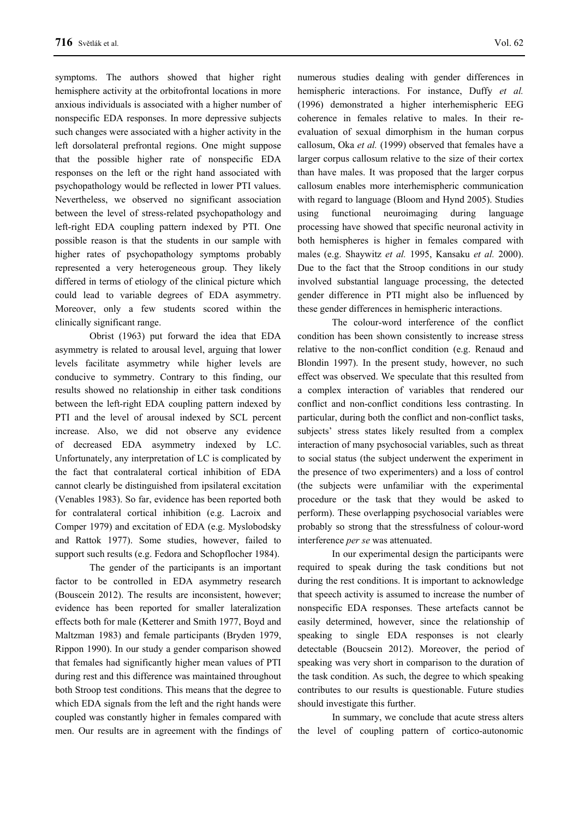symptoms. The authors showed that higher right hemisphere activity at the orbitofrontal locations in more anxious individuals is associated with a higher number of nonspecific EDA responses. In more depressive subjects such changes were associated with a higher activity in the left dorsolateral prefrontal regions. One might suppose that the possible higher rate of nonspecific EDA responses on the left or the right hand associated with psychopathology would be reflected in lower PTI values. Nevertheless, we observed no significant association between the level of stress-related psychopathology and left-right EDA coupling pattern indexed by PTI. One possible reason is that the students in our sample with higher rates of psychopathology symptoms probably represented a very heterogeneous group. They likely differed in terms of etiology of the clinical picture which could lead to variable degrees of EDA asymmetry. Moreover, only a few students scored within the clinically significant range.

Obrist (1963) put forward the idea that EDA asymmetry is related to arousal level, arguing that lower levels facilitate asymmetry while higher levels are conducive to symmetry. Contrary to this finding, our results showed no relationship in either task conditions between the left-right EDA coupling pattern indexed by PTI and the level of arousal indexed by SCL percent increase. Also, we did not observe any evidence of decreased EDA asymmetry indexed by LC. Unfortunately, any interpretation of LC is complicated by the fact that contralateral cortical inhibition of EDA cannot clearly be distinguished from ipsilateral excitation (Venables 1983). So far, evidence has been reported both for contralateral cortical inhibition (e.g. Lacroix and Comper 1979) and excitation of EDA (e.g. Myslobodsky and Rattok 1977). Some studies, however, failed to support such results (e.g. Fedora and Schopflocher 1984).

The gender of the participants is an important factor to be controlled in EDA asymmetry research (Bouscein 2012). The results are inconsistent, however; evidence has been reported for smaller lateralization effects both for male (Ketterer and Smith 1977, Boyd and Maltzman 1983) and female participants (Bryden 1979, Rippon 1990). In our study a gender comparison showed that females had significantly higher mean values of PTI during rest and this difference was maintained throughout both Stroop test conditions. This means that the degree to which EDA signals from the left and the right hands were coupled was constantly higher in females compared with men. Our results are in agreement with the findings of numerous studies dealing with gender differences in hemispheric interactions. For instance, Duffy *et al.* (1996) demonstrated a higher interhemispheric EEG coherence in females relative to males. In their reevaluation of sexual dimorphism in the human corpus callosum, Oka *et al.* (1999) observed that females have a larger corpus callosum relative to the size of their cortex than have males. It was proposed that the larger corpus callosum enables more interhemispheric communication with regard to language (Bloom and Hynd 2005). Studies using functional neuroimaging during language processing have showed that specific neuronal activity in both hemispheres is higher in females compared with males (e.g. Shaywitz *et al.* 1995, Kansaku *et al.* 2000). Due to the fact that the Stroop conditions in our study involved substantial language processing, the detected gender difference in PTI might also be influenced by these gender differences in hemispheric interactions.

The colour-word interference of the conflict condition has been shown consistently to increase stress relative to the non-conflict condition (e.g. Renaud and Blondin 1997). In the present study, however, no such effect was observed. We speculate that this resulted from a complex interaction of variables that rendered our conflict and non-conflict conditions less contrasting. In particular, during both the conflict and non-conflict tasks, subjects' stress states likely resulted from a complex interaction of many psychosocial variables, such as threat to social status (the subject underwent the experiment in the presence of two experimenters) and a loss of control (the subjects were unfamiliar with the experimental procedure or the task that they would be asked to perform). These overlapping psychosocial variables were probably so strong that the stressfulness of colour-word interference *per se* was attenuated.

In our experimental design the participants were required to speak during the task conditions but not during the rest conditions. It is important to acknowledge that speech activity is assumed to increase the number of nonspecific EDA responses. These artefacts cannot be easily determined, however, since the relationship of speaking to single EDA responses is not clearly detectable (Boucsein 2012). Moreover, the period of speaking was very short in comparison to the duration of the task condition. As such, the degree to which speaking contributes to our results is questionable. Future studies should investigate this further.

In summary, we conclude that acute stress alters the level of coupling pattern of cortico-autonomic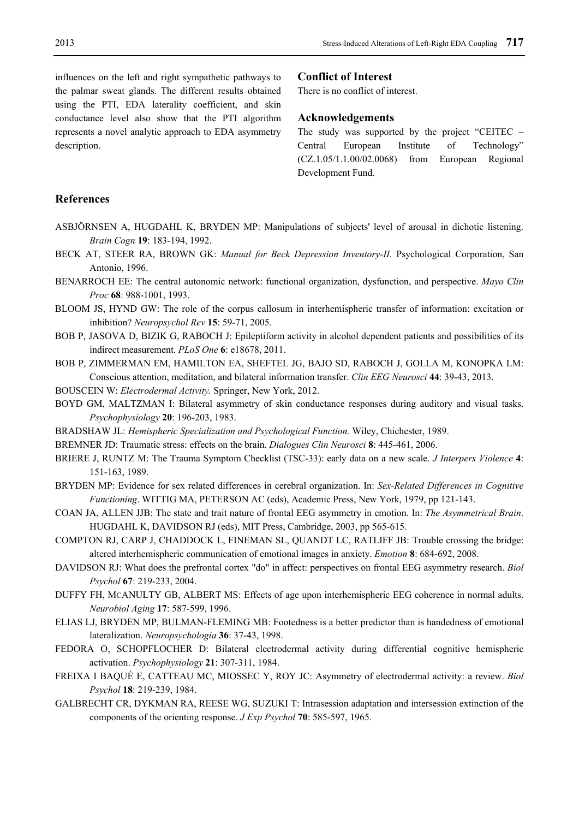influences on the left and right sympathetic pathways to the palmar sweat glands. The different results obtained using the PTI, EDA laterality coefficient, and skin conductance level also show that the PTI algorithm represents a novel analytic approach to EDA asymmetry description.

#### **Conflict of Interest**

There is no conflict of interest.

## **Acknowledgements**

The study was supported by the project "CEITEC – Central European Institute of Technology" (CZ.1.05/1.1.00/02.0068) from European Regional Development Fund.

## **References**

- ASBJÖRNSEN A, HUGDAHL K, BRYDEN MP: Manipulations of subjects' level of arousal in dichotic listening. *Brain Cogn* **19**: 183-194, 1992.
- BECK AT, STEER RA, BROWN GK: *Manual for Beck Depression Inventory-II.* Psychological Corporation, San Antonio, 1996.
- BENARROCH EE: The central autonomic network: functional organization, dysfunction, and perspective. *Mayo Clin Proc* **68**: 988-1001, 1993.
- BLOOM JS, HYND GW: The role of the corpus callosum in interhemispheric transfer of information: excitation or inhibition? *Neuropsychol Rev* **15**: 59-71, 2005.
- BOB P, JASOVA D, BIZIK G, RABOCH J: Epileptiform activity in alcohol dependent patients and possibilities of its indirect measurement. *PLoS One* **6**: e18678, 2011.
- BOB P, ZIMMERMAN EM, HAMILTON EA, SHEFTEL JG, BAJO SD, RABOCH J, GOLLA M, KONOPKA LM: Conscious attention, meditation, and bilateral information transfer. *Clin EEG Neurosci* **44**: 39-43, 2013.
- BOUSCEIN W: *Electrodermal Activity.* Springer, New York, 2012.
- BOYD GM, MALTZMAN I: Bilateral asymmetry of skin conductance responses during auditory and visual tasks. *Psychophysiology* **20**: 196-203, 1983.
- BRADSHAW JL: *Hemispheric Specialization and Psychological Function.* Wiley, Chichester, 1989.
- BREMNER JD: Traumatic stress: effects on the brain. *Dialogues Clin Neurosci* **8**: 445-461, 2006.
- BRIERE J, RUNTZ M: The Trauma Symptom Checklist (TSC-33): early data on a new scale. *J Interpers Violence* **4**: 151-163, 1989.
- BRYDEN MP: Evidence for sex related differences in cerebral organization. In: *Sex-Related Differences in Cognitive Functioning*. WITTIG MA, PETERSON AC (eds), Academic Press, New York, 1979, pp 121-143.
- COAN JA, ALLEN JJB: The state and trait nature of frontal EEG asymmetry in emotion. In: *The Asymmetrical Brain*. HUGDAHL K, DAVIDSON RJ (eds), MIT Press, Cambridge, 2003, pp 565-615.
- COMPTON RJ, CARP J, CHADDOCK L, FINEMAN SL, QUANDT LC, RATLIFF JB: Trouble crossing the bridge: altered interhemispheric communication of emotional images in anxiety. *Emotion* **8**: 684-692, 2008.
- DAVIDSON RJ: What does the prefrontal cortex "do" in affect: perspectives on frontal EEG asymmetry research. *Biol Psychol* **67**: 219-233, 2004.
- DUFFY FH, MCANULTY GB, ALBERT MS: Effects of age upon interhemispheric EEG coherence in normal adults. *Neurobiol Aging* **17**: 587-599, 1996.
- ELIAS LJ, BRYDEN MP, BULMAN-FLEMING MB: Footedness is a better predictor than is handedness of emotional lateralization. *Neuropsychologia* **36**: 37-43, 1998.
- FEDORA O, SCHOPFLOCHER D: Bilateral electrodermal activity during differential cognitive hemispheric activation. *Psychophysiology* **21**: 307-311, 1984.
- FREIXA I BAQUÉ E, CATTEAU MC, MIOSSEC Y, ROY JC: Asymmetry of electrodermal activity: a review. *Biol Psychol* **18**: 219-239, 1984.
- GALBRECHT CR, DYKMAN RA, REESE WG, SUZUKI T: Intrasession adaptation and intersession extinction of the components of the orienting response. *J Exp Psychol* **70**: 585-597, 1965.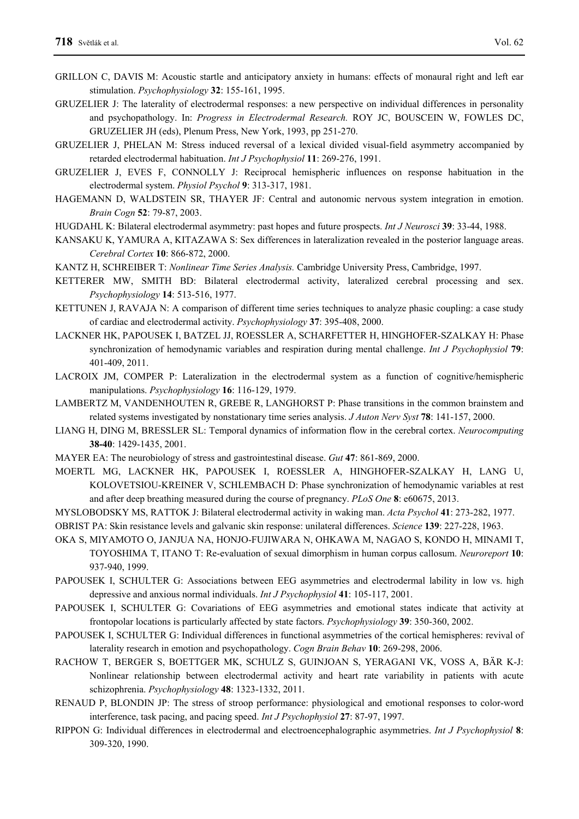- GRILLON C, DAVIS M: Acoustic startle and anticipatory anxiety in humans: effects of monaural right and left ear stimulation. *Psychophysiology* **32**: 155-161, 1995.
- GRUZELIER J: The laterality of electrodermal responses: a new perspective on individual differences in personality and psychopathology. In: *Progress in Electrodermal Research.* ROY JC, BOUSCEIN W, FOWLES DC, GRUZELIER JH (eds), Plenum Press, New York, 1993, pp 251-270.
- GRUZELIER J, PHELAN M: Stress induced reversal of a lexical divided visual-field asymmetry accompanied by retarded electrodermal habituation. *Int J Psychophysiol* **11**: 269-276, 1991.
- GRUZELIER J, EVES F, CONNOLLY J: Reciprocal hemispheric influences on response habituation in the electrodermal system. *Physiol Psychol* **9**: 313-317, 1981.
- HAGEMANN D, WALDSTEIN SR, THAYER JF: Central and autonomic nervous system integration in emotion. *Brain Cogn* **52**: 79-87, 2003.
- HUGDAHL K: Bilateral electrodermal asymmetry: past hopes and future prospects. *Int J Neurosci* **39**: 33-44, 1988.
- KANSAKU K, YAMURA A, KITAZAWA S: Sex differences in lateralization revealed in the posterior language areas. *Cerebral Cortex* **10**: 866-872, 2000.
- KANTZ H, SCHREIBER T: *Nonlinear Time Series Analysis.* Cambridge University Press, Cambridge, 1997.
- KETTERER MW, SMITH BD: Bilateral electrodermal activity, lateralized cerebral processing and sex. *Psychophysiology* **14**: 513-516, 1977.
- KETTUNEN J, RAVAJA N: A comparison of different time series techniques to analyze phasic coupling: a case study of cardiac and electrodermal activity. *Psychophysiology* **37**: 395-408, 2000.
- LACKNER HK, PAPOUSEK I, BATZEL JJ, ROESSLER A, SCHARFETTER H, HINGHOFER-SZALKAY H: Phase synchronization of hemodynamic variables and respiration during mental challenge. *Int J Psychophysiol* **79**: 401-409, 2011.
- LACROIX JM, COMPER P: Lateralization in the electrodermal system as a function of cognitive/hemispheric manipulations. *Psychophysiology* **16**: 116-129, 1979.
- LAMBERTZ M, VANDENHOUTEN R, GREBE R, LANGHORST P: Phase transitions in the common brainstem and related systems investigated by nonstationary time series analysis. *J Auton Nerv Syst* **78**: 141-157, 2000.
- LIANG H, DING M, BRESSLER SL: Temporal dynamics of information flow in the cerebral cortex. *Neurocomputing* **38-40**: 1429-1435, 2001.
- MAYER EA: The neurobiology of stress and gastrointestinal disease. *Gut* **47**: 861-869, 2000.
- MOERTL MG, LACKNER HK, PAPOUSEK I, ROESSLER A, HINGHOFER-SZALKAY H, LANG U, KOLOVETSIOU-KREINER V, SCHLEMBACH D: Phase synchronization of hemodynamic variables at rest and after deep breathing measured during the course of pregnancy. *PLoS One* **8**: e60675, 2013.
- MYSLOBODSKY MS, RATTOK J: Bilateral electrodermal activity in waking man. *Acta Psychol* **41**: 273-282, 1977.

OBRIST PA: Skin resistance levels and galvanic skin response: unilateral differences. *Science* **139**: 227-228, 1963.

- OKA S, MIYAMOTO O, JANJUA NA, HONJO-FUJIWARA N, OHKAWA M, NAGAO S, KONDO H, MINAMI T, TOYOSHIMA T, ITANO T: Re-evaluation of sexual dimorphism in human corpus callosum. *Neuroreport* **10**: 937-940, 1999.
- PAPOUSEK I, SCHULTER G: Associations between EEG asymmetries and electrodermal lability in low vs. high depressive and anxious normal individuals. *Int J Psychophysiol* **41**: 105-117, 2001.
- PAPOUSEK I, SCHULTER G: Covariations of EEG asymmetries and emotional states indicate that activity at frontopolar locations is particularly affected by state factors. *Psychophysiology* **39**: 350-360, 2002.
- PAPOUSEK I, SCHULTER G: Individual differences in functional asymmetries of the cortical hemispheres: revival of laterality research in emotion and psychopathology. *Cogn Brain Behav* **10**: 269-298, 2006.
- RACHOW T, BERGER S, BOETTGER MK, SCHULZ S, GUINJOAN S, YERAGANI VK, VOSS A, BÄR K-J: Nonlinear relationship between electrodermal activity and heart rate variability in patients with acute schizophrenia. *Psychophysiology* **48**: 1323-1332, 2011.
- RENAUD P, BLONDIN JP: The stress of stroop performance: physiological and emotional responses to color-word interference, task pacing, and pacing speed. *Int J Psychophysiol* **27**: 87-97, 1997.
- RIPPON G: Individual differences in electrodermal and electroencephalographic asymmetries. *Int J Psychophysiol* **8**: 309-320, 1990.